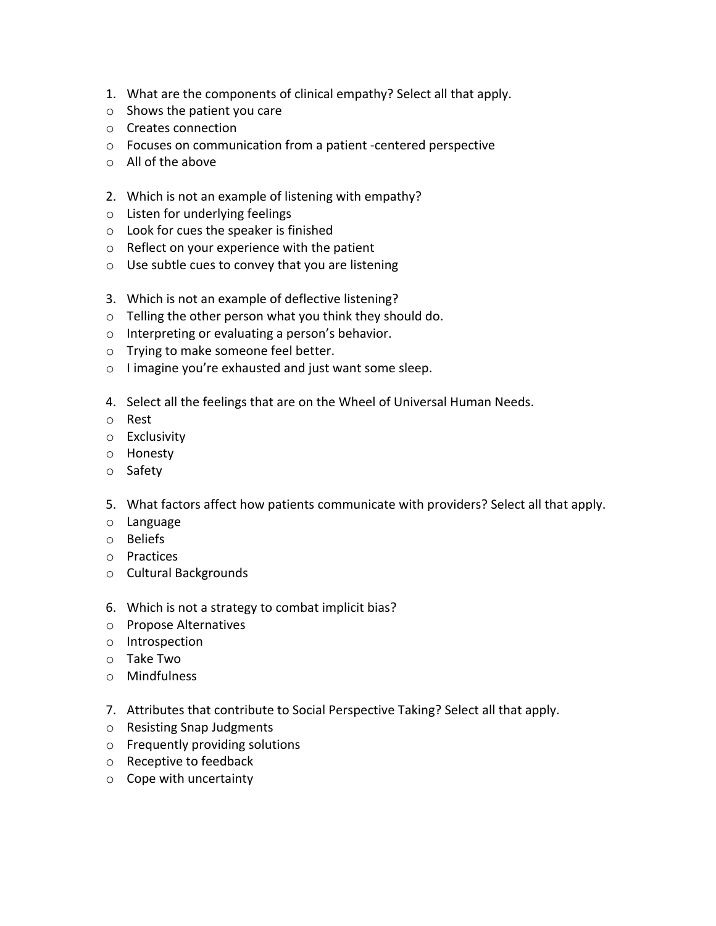- 1. What are the components of clinical empathy? Select all that apply.
- o Shows the patient you care
- o Creates connection
- o Focuses on communication from a patient -centered perspective
- o All of the above
- 2. Which is not an example of listening with empathy?
- o Listen for underlying feelings
- o Look for cues the speaker is finished
- o Reflect on your experience with the patient
- o Use subtle cues to convey that you are listening
- 3. Which is not an example of deflective listening?
- o Telling the other person what you think they should do.
- o Interpreting or evaluating a person's behavior.
- o Trying to make someone feel better.
- o I imagine you're exhausted and just want some sleep.
- 4. Select all the feelings that are on the Wheel of Universal Human Needs.
- o Rest
- o Exclusivity
- o Honesty
- o Safety
- 5. What factors affect how patients communicate with providers? Select all that apply.
- o Language
- o Beliefs
- o Practices
- o Cultural Backgrounds
- 6. Which is not a strategy to combat implicit bias?
- o Propose Alternatives
- o Introspection
- o Take Two
- o Mindfulness
- 7. Attributes that contribute to Social Perspective Taking? Select all that apply.
- o Resisting Snap Judgments
- o Frequently providing solutions
- o Receptive to feedback
- o Cope with uncertainty